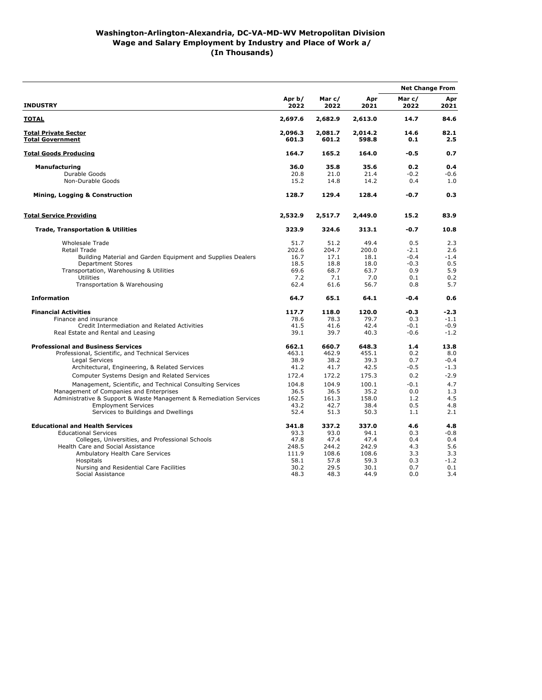## **Washington-Arlington-Alexandria, DC-VA-MD-WV Metropolitan Division Wage and Salary Employment by Industry and Place of Work a/ (In Thousands)**

| <b>INDUSTRY</b>                                                                                                                                                                                                                                                                                                                                                 |                                                                          | Mar c/<br>2022                                                           | Apr<br>2021                                                              | <b>Net Change From</b>                                                |                                                                                 |
|-----------------------------------------------------------------------------------------------------------------------------------------------------------------------------------------------------------------------------------------------------------------------------------------------------------------------------------------------------------------|--------------------------------------------------------------------------|--------------------------------------------------------------------------|--------------------------------------------------------------------------|-----------------------------------------------------------------------|---------------------------------------------------------------------------------|
|                                                                                                                                                                                                                                                                                                                                                                 | Apr b/<br>2022                                                           |                                                                          |                                                                          | Mar c/<br>2022                                                        | Apr<br>2021                                                                     |
| <b>TOTAL</b>                                                                                                                                                                                                                                                                                                                                                    | 2,697.6                                                                  | 2,682.9                                                                  | 2,613.0                                                                  | 14.7                                                                  | 84.6                                                                            |
| <b>Total Private Sector</b><br><b>Total Government</b>                                                                                                                                                                                                                                                                                                          | 2,096.3<br>601.3                                                         | 2,081.7<br>601.2                                                         | 2,014.2<br>598.8                                                         | 14.6<br>0.1                                                           | 82.1<br>2.5                                                                     |
| <b>Total Goods Producing</b>                                                                                                                                                                                                                                                                                                                                    | 164.7                                                                    | 165.2                                                                    | 164.0                                                                    | -0.5                                                                  | 0.7                                                                             |
| <b>Manufacturing</b><br>Durable Goods<br>Non-Durable Goods<br>Mining, Logging & Construction                                                                                                                                                                                                                                                                    | 36.0<br>20.8<br>15.2<br>128.7                                            | 35.8<br>21.0<br>14.8<br>129.4                                            | 35.6<br>21.4<br>14.2<br>128.4                                            | 0.2<br>$-0.2$<br>0.4<br>-0.7                                          | 0.4<br>$-0.6$<br>1.0<br>0.3                                                     |
| <b>Total Service Providing</b>                                                                                                                                                                                                                                                                                                                                  | 2,532.9                                                                  | 2,517.7                                                                  | 2,449.0                                                                  | 15.2                                                                  | 83.9                                                                            |
| <b>Trade, Transportation &amp; Utilities</b>                                                                                                                                                                                                                                                                                                                    | 323.9                                                                    | 324.6                                                                    | 313.1                                                                    | $-0.7$                                                                | 10.8                                                                            |
| <b>Wholesale Trade</b><br><b>Retail Trade</b><br>Building Material and Garden Equipment and Supplies Dealers<br><b>Department Stores</b><br>Transportation, Warehousing & Utilities<br>Utilities<br>Transportation & Warehousing                                                                                                                                | 51.7<br>202.6<br>16.7<br>18.5<br>69.6<br>7.2<br>62.4                     | 51.2<br>204.7<br>17.1<br>18.8<br>68.7<br>7.1<br>61.6                     | 49.4<br>200.0<br>18.1<br>18.0<br>63.7<br>7.0<br>56.7                     | 0.5<br>$-2.1$<br>$-0.4$<br>$-0.3$<br>0.9<br>0.1<br>0.8                | 2.3<br>2.6<br>$-1.4$<br>0.5<br>5.9<br>0.2<br>5.7                                |
| <b>Information</b>                                                                                                                                                                                                                                                                                                                                              | 64.7                                                                     | 65.1                                                                     | 64.1                                                                     | $-0.4$                                                                | 0.6                                                                             |
| <b>Financial Activities</b><br>Finance and insurance<br>Credit Intermediation and Related Activities<br>Real Estate and Rental and Leasing<br><b>Professional and Business Services</b><br>Professional, Scientific, and Technical Services<br>Legal Services<br>Architectural, Engineering, & Related Services<br>Computer Systems Design and Related Services | 117.7<br>78.6<br>41.5<br>39.1<br>662.1<br>463.1<br>38.9<br>41.2<br>172.4 | 118.0<br>78.3<br>41.6<br>39.7<br>660.7<br>462.9<br>38.2<br>41.7<br>172.2 | 120.0<br>79.7<br>42.4<br>40.3<br>648.3<br>455.1<br>39.3<br>42.5<br>175.3 | -0.3<br>0.3<br>$-0.1$<br>$-0.6$<br>1.4<br>0.2<br>0.7<br>$-0.5$<br>0.2 | -2.3<br>$-1.1$<br>$-0.9$<br>$-1.2$<br>13.8<br>8.0<br>$-0.4$<br>$-1.3$<br>$-2.9$ |
| Management, Scientific, and Technical Consulting Services<br>Management of Companies and Enterprises<br>Administrative & Support & Waste Management & Remediation Services<br><b>Employment Services</b><br>Services to Buildings and Dwellings                                                                                                                 | 104.8<br>36.5<br>162.5<br>43.2<br>52.4                                   | 104.9<br>36.5<br>161.3<br>42.7<br>51.3                                   | 100.1<br>35.2<br>158.0<br>38.4<br>50.3                                   | $-0.1$<br>0.0<br>1.2<br>0.5<br>1.1                                    | 4.7<br>1.3<br>4.5<br>4.8<br>2.1                                                 |
| <b>Educational and Health Services</b><br><b>Educational Services</b><br>Colleges, Universities, and Professional Schools<br>Health Care and Social Assistance<br>Ambulatory Health Care Services<br>Hospitals<br>Nursing and Residential Care Facilities<br>Social Assistance                                                                                  | 341.8<br>93.3<br>47.8<br>248.5<br>111.9<br>58.1<br>30.2<br>48.3          | 337.2<br>93.0<br>47.4<br>244.2<br>108.6<br>57.8<br>29.5<br>48.3          | 337.0<br>94.1<br>47.4<br>242.9<br>108.6<br>59.3<br>30.1<br>44.9          | 4.6<br>0.3<br>0.4<br>4.3<br>3.3<br>0.3<br>0.7<br>0.0                  | 4.8<br>$-0.8$<br>0.4<br>5.6<br>3.3<br>$-1.2$<br>0.1<br>3.4                      |